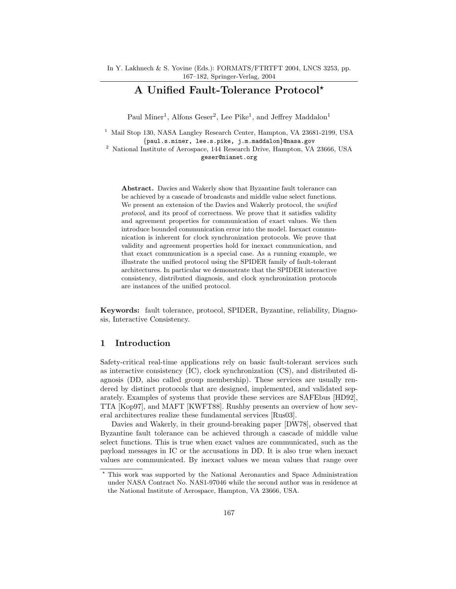# A Unified Fault-Tolerance Protocol<sup>\*</sup>

Paul Miner<sup>1</sup>, Alfons Geser<sup>2</sup>, Lee Pike<sup>1</sup>, and Jeffrey Maddalon<sup>1</sup>

<sup>1</sup> Mail Stop 130, NASA Langley Research Center, Hampton, VA 23681-2199, USA {paul.s.miner, lee.s.pike, j.m.maddalon}@nasa.gov

<sup>2</sup> National Institute of Aerospace, 144 Research Drive, Hampton, VA 23666, USA geser@nianet.org

Abstract. Davies and Wakerly show that Byzantine fault tolerance can be achieved by a cascade of broadcasts and middle value select functions. We present an extension of the Davies and Wakerly protocol, the unified protocol, and its proof of correctness. We prove that it satisfies validity and agreement properties for communication of exact values. We then introduce bounded communication error into the model. Inexact communication is inherent for clock synchronization protocols. We prove that validity and agreement properties hold for inexact communication, and that exact communication is a special case. As a running example, we illustrate the unified protocol using the SPIDER family of fault-tolerant architectures. In particular we demonstrate that the SPIDER interactive consistency, distributed diagnosis, and clock synchronization protocols are instances of the unified protocol.

Keywords: fault tolerance, protocol, SPIDER, Byzantine, reliability, Diagnosis, Interactive Consistency.

# 1 Introduction

Safety-critical real-time applications rely on basic fault-tolerant services such as interactive consistency (IC), clock synchronization (CS), and distributed diagnosis (DD, also called group membership). These services are usually rendered by distinct protocols that are designed, implemented, and validated separately. Examples of systems that provide these services are SAFEbus [HD92], TTA [Kop97], and MAFT [KWFT88]. Rushby presents an overview of how several architectures realize these fundamental services [Rus03].

Davies and Wakerly, in their ground-breaking paper [DW78], observed that Byzantine fault tolerance can be achieved through a cascade of middle value select functions. This is true when exact values are communicated, such as the payload messages in IC or the accusations in DD. It is also true when inexact values are communicated. By inexact values we mean values that range over

<sup>?</sup> This work was supported by the National Aeronautics and Space Administration under NASA Contract No. NAS1-97046 while the second author was in residence at the National Institute of Aerospace, Hampton, VA 23666, USA.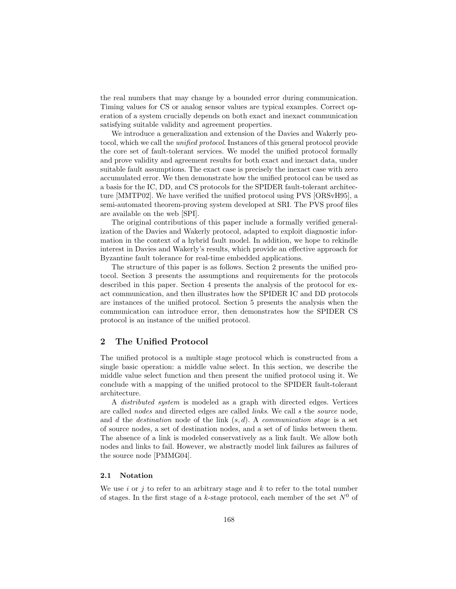the real numbers that may change by a bounded error during communication. Timing values for CS or analog sensor values are typical examples. Correct operation of a system crucially depends on both exact and inexact communication satisfying suitable validity and agreement properties.

We introduce a generalization and extension of the Davies and Wakerly protocol, which we call the unified protocol. Instances of this general protocol provide the core set of fault-tolerant services. We model the unified protocol formally and prove validity and agreement results for both exact and inexact data, under suitable fault assumptions. The exact case is precisely the inexact case with zero accumulated error. We then demonstrate how the unified protocol can be used as a basis for the IC, DD, and CS protocols for the SPIDER fault-tolerant architecture [MMTP02]. We have verified the unified protocol using PVS [ORSvH95], a semi-automated theorem-proving system developed at SRI. The PVS proof files are available on the web [SPI].

The original contributions of this paper include a formally verified generalization of the Davies and Wakerly protocol, adapted to exploit diagnostic information in the context of a hybrid fault model. In addition, we hope to rekindle interest in Davies and Wakerly's results, which provide an effective approach for Byzantine fault tolerance for real-time embedded applications.

The structure of this paper is as follows. Section 2 presents the unified protocol. Section 3 presents the assumptions and requirements for the protocols described in this paper. Section 4 presents the analysis of the protocol for exact communication, and then illustrates how the SPIDER IC and DD protocols are instances of the unified protocol. Section 5 presents the analysis when the communication can introduce error, then demonstrates how the SPIDER CS protocol is an instance of the unified protocol.

# 2 The Unified Protocol

The unified protocol is a multiple stage protocol which is constructed from a single basic operation: a middle value select. In this section, we describe the middle value select function and then present the unified protocol using it. We conclude with a mapping of the unified protocol to the SPIDER fault-tolerant architecture.

A distributed system is modeled as a graph with directed edges. Vertices are called *nodes* and directed edges are called *links*. We call s the source node, and d the destination node of the link  $(s, d)$ . A communication stage is a set of source nodes, a set of destination nodes, and a set of of links between them. The absence of a link is modeled conservatively as a link fault. We allow both nodes and links to fail. However, we abstractly model link failures as failures of the source node [PMMG04].

## 2.1 Notation

We use i or j to refer to an arbitrary stage and  $k$  to refer to the total number of stages. In the first stage of a k-stage protocol, each member of the set  $N^0$  of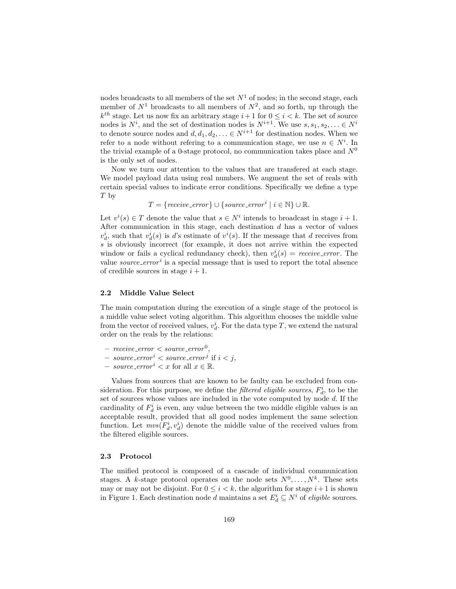nodes broadcasts to all members of the set  $N^1$  of nodes; in the second stage, each member of  $N^1$  broadcasts to all members of  $N^2$ , and so forth, up through the  $k^{th}$  stage. Let us now fix an arbitrary stage  $i+1$  for  $0 \leq i \leq k$ . The set of source nodes is  $N^i$ , and the set of destination nodes is  $N^{i+1}$ . We use  $s, s_1, s_2, \ldots \in N^i$ to denote source nodes and  $d, d_1, d_2, \ldots \in N^{i+1}$  for destination nodes. When we refer to a node without refering to a communication stage, we use  $n \in N^i$ . In the trivial example of a 0-stage protocol, no communication takes place and  $N^0$ is the only set of nodes.

Now we turn our attention to the values that are transfered at each stage. We model payload data using real numbers. We augment the set of reals with certain special values to indicate error conditions. Specifically we define a type T by

$$
T = \{ receive\_error\} \cup \{source\_error^i \mid i \in \mathbb{N}\} \cup \mathbb{R}.
$$

Let  $v^i(s) \in T$  denote the value that  $s \in N^i$  intends to broadcast in stage  $i + 1$ . After communication in this stage, each destination  $d$  has a vector of values  $v_d^i$ , such that  $v_d^i(s)$  is d's estimate of  $v^i(s)$ . If the message that d receives from s is obviously incorrect (for example, it does not arrive within the expected window or fails a cyclical redundancy check), then  $v_d^i(s) = receive\_error$ . The value *source\_error*<sup>*i*</sup> is a special message that is used to report the total absence of credible sources in stage  $i + 1$ .

#### 2.2 Middle Value Select

The main computation during the execution of a single stage of the protocol is a middle value select voting algorithm. This algorithm chooses the middle value from the vector of received values,  $v_d^i$ . For the data type T, we extend the natural order on the reals by the relations:

- $-$  receive\_error  $<$  source\_error<sup>0</sup>,
- $-$  source\_error<sup>i</sup>  $\lt$  source\_error<sup>j</sup> if  $i < j$ ,
- source\_error<sup> $i$ </sup>  $\lt x$  for all  $x \in \mathbb{R}$ .

Values from sources that are known to be faulty can be excluded from consideration. For this purpose, we define the *filtered eligible sources*,  $F_d^i$ , to be the set of sources whose values are included in the vote computed by node d. If the cardinality of  $F_d^i$  is even, any value between the two middle eligible values is an acceptable result, provided that all good nodes implement the same selection function. Let  $\text{mus}(F_d^i, v_d^i)$  denote the middle value of the received values from the filtered eligible sources.

## 2.3 Protocol

The unified protocol is composed of a cascade of individual communication stages. A k-stage protocol operates on the node sets  $N^0, \ldots, N^k$ . These sets may or may not be disjoint. For  $0 \le i \le k$ , the algorithm for stage  $i+1$  is shown in Figure 1. Each destination node d maintains a set  $E_d^i \subseteq N^i$  of *eligible* sources.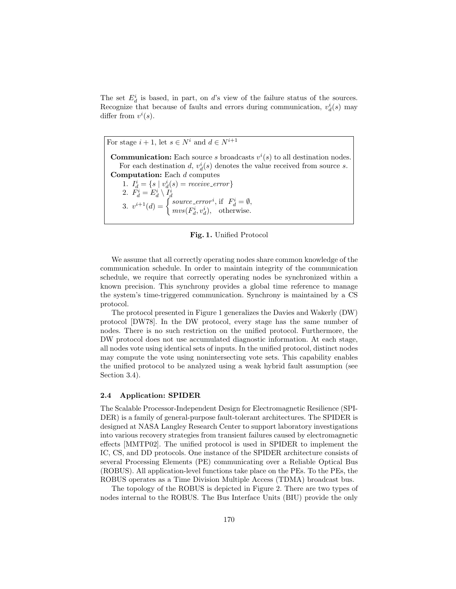The set  $E_d^i$  is based, in part, on d's view of the failure status of the sources. Recognize that because of faults and errors during communication,  $v_d^i(s)$  may differ from  $v^i(s)$ .

For stage  $i + 1$ , let  $s \in N^i$  and  $d \in N^{i+1}$ 

**Communication:** Each source s broadcasts  $v^i(s)$  to all destination nodes. For each destination d,  $v_d^i(s)$  denotes the value received from source s. Computation: Each d computes

1.  $I_d^i = \{s \mid v_d^i(s) = receive\_error\}$ 2.  $F_d^i = E_d^i \setminus I_d^i$ 3. v <sup>i</sup>+1(d) = source error <sup>i</sup> , if F i <sup>d</sup> = ∅,  $mvs(F_d^i, v_d^i)$ , otherwise.

Fig. 1. Unified Protocol

We assume that all correctly operating nodes share common knowledge of the communication schedule. In order to maintain integrity of the communication schedule, we require that correctly operating nodes be synchronized within a known precision. This synchrony provides a global time reference to manage the system's time-triggered communication. Synchrony is maintained by a CS protocol.

The protocol presented in Figure 1 generalizes the Davies and Wakerly (DW) protocol [DW78]. In the DW protocol, every stage has the same number of nodes. There is no such restriction on the unified protocol. Furthermore, the DW protocol does not use accumulated diagnostic information. At each stage, all nodes vote using identical sets of inputs. In the unified protocol, distinct nodes may compute the vote using nonintersecting vote sets. This capability enables the unified protocol to be analyzed using a weak hybrid fault assumption (see Section 3.4).

#### 2.4 Application: SPIDER

The Scalable Processor-Independent Design for Electromagnetic Resilience (SPI-DER) is a family of general-purpose fault-tolerant architectures. The SPIDER is designed at NASA Langley Research Center to support laboratory investigations into various recovery strategies from transient failures caused by electromagnetic effects [MMTP02]. The unified protocol is used in SPIDER to implement the IC, CS, and DD protocols. One instance of the SPIDER architecture consists of several Processing Elements (PE) communicating over a Reliable Optical Bus (ROBUS). All application-level functions take place on the PEs. To the PEs, the ROBUS operates as a Time Division Multiple Access (TDMA) broadcast bus.

The topology of the ROBUS is depicted in Figure 2. There are two types of nodes internal to the ROBUS. The Bus Interface Units (BIU) provide the only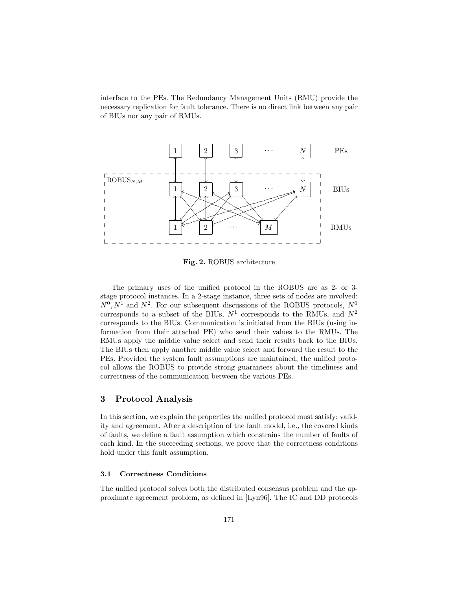interface to the PEs. The Redundancy Management Units (RMU) provide the necessary replication for fault tolerance. There is no direct link between any pair of BIUs nor any pair of RMUs.



Fig. 2. ROBUS architecture

The primary uses of the unified protocol in the ROBUS are as 2- or 3 stage protocol instances. In a 2-stage instance, three sets of nodes are involved:  $N^0, N^1$  and  $N^2$ . For our subsequent discussions of the ROBUS protocols,  $N^0$ corresponds to a subset of the BIUs,  $N^1$  corresponds to the RMUs, and  $N^2$ corresponds to the BIUs. Communication is initiated from the BIUs (using information from their attached PE) who send their values to the RMUs. The RMUs apply the middle value select and send their results back to the BIUs. The BIUs then apply another middle value select and forward the result to the PEs. Provided the system fault assumptions are maintained, the unified protocol allows the ROBUS to provide strong guarantees about the timeliness and correctness of the communication between the various PEs.

## 3 Protocol Analysis

In this section, we explain the properties the unified protocol must satisfy: validity and agreement. After a description of the fault model, i.e., the covered kinds of faults, we define a fault assumption which constrains the number of faults of each kind. In the succeeding sections, we prove that the correctness conditions hold under this fault assumption.

## 3.1 Correctness Conditions

The unified protocol solves both the distributed consensus problem and the approximate agreement problem, as defined in [Lyn96]. The IC and DD protocols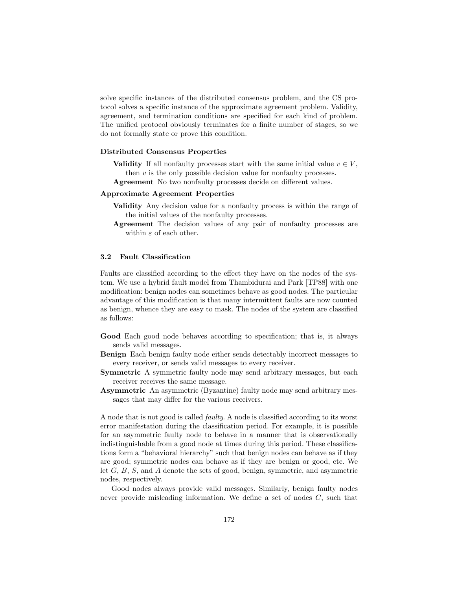solve specific instances of the distributed consensus problem, and the CS protocol solves a specific instance of the approximate agreement problem. Validity, agreement, and termination conditions are specified for each kind of problem. The unified protocol obviously terminates for a finite number of stages, so we do not formally state or prove this condition.

## Distributed Consensus Properties

- Validity If all nonfaulty processes start with the same initial value  $v \in V$ , then  $v$  is the only possible decision value for nonfaulty processes.
- Agreement No two nonfaulty processes decide on different values.

#### Approximate Agreement Properties

- Validity Any decision value for a nonfaulty process is within the range of the initial values of the nonfaulty processes.
- Agreement The decision values of any pair of nonfaulty processes are within  $\varepsilon$  of each other.

### 3.2 Fault Classification

Faults are classified according to the effect they have on the nodes of the system. We use a hybrid fault model from Thambidurai and Park [TP88] with one modification: benign nodes can sometimes behave as good nodes. The particular advantage of this modification is that many intermittent faults are now counted as benign, whence they are easy to mask. The nodes of the system are classified as follows:

- Good Each good node behaves according to specification; that is, it always sends valid messages.
- Benign Each benign faulty node either sends detectably incorrect messages to every receiver, or sends valid messages to every receiver.
- Symmetric A symmetric faulty node may send arbitrary messages, but each receiver receives the same message.
- Asymmetric An asymmetric (Byzantine) faulty node may send arbitrary messages that may differ for the various receivers.

A node that is not good is called faulty. A node is classified according to its worst error manifestation during the classification period. For example, it is possible for an asymmetric faulty node to behave in a manner that is observationally indistinguishable from a good node at times during this period. These classifications form a "behavioral hierarchy" such that benign nodes can behave as if they are good; symmetric nodes can behave as if they are benign or good, etc. We let  $G, B, S$ , and  $A$  denote the sets of good, benign, symmetric, and asymmetric nodes, respectively.

Good nodes always provide valid messages. Similarly, benign faulty nodes never provide misleading information. We define a set of nodes C, such that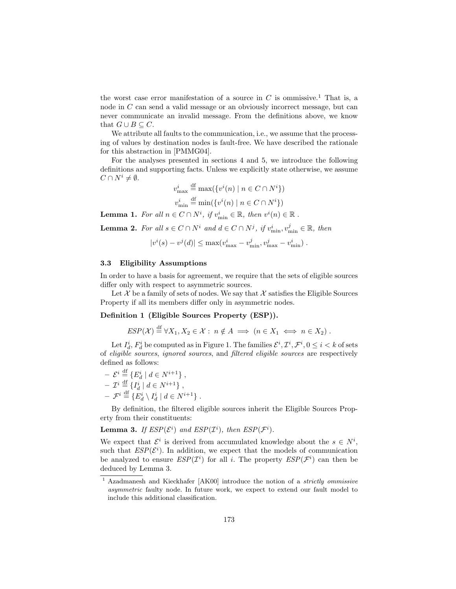the worst case error manifestation of a source in  $C$  is ommissive.<sup>1</sup> That is, a node in C can send a valid message or an obviously incorrect message, but can never communicate an invalid message. From the definitions above, we know that  $G \cup B \subseteq C$ .

We attribute all faults to the communication, i.e., we assume that the processing of values by destination nodes is fault-free. We have described the rationale for this abstraction in [PMMG04].

For the analyses presented in sections 4 and 5, we introduce the following definitions and supporting facts. Unless we explicitly state otherwise, we assume  $C \cap N^i \neq \emptyset$ .

$$
v_{\text{max}}^i \stackrel{\text{df}}{=} \max(\{v^i(n) \mid n \in C \cap N^i\})
$$
  

$$
v_{\text{min}}^i \stackrel{\text{df}}{=} \min(\{v^i(n) \mid n \in C \cap N^i\})
$$

**Lemma 1.** For all  $n \in C \cap N^i$ , if  $v_{\min}^i \in \mathbb{R}$ , then  $v^i(n) \in \mathbb{R}$ .

**Lemma 2.** For all  $s \in C \cap N^i$  and  $d \in C \cap N^j$ , if  $v_{\min}^i, v_{\min}^j \in \mathbb{R}$ , then

$$
|v^i(s) - v^j(d)| \leq \max(v_{\text{max}}^i - v_{\text{min}}^j, v_{\text{max}}^j - v_{\text{min}}^i).
$$

#### 3.3 Eligibility Assumptions

In order to have a basis for agreement, we require that the sets of eligible sources differ only with respect to asymmetric sources.

Let  $\mathcal X$  be a family of sets of nodes. We say that  $\mathcal X$  satisfies the Eligible Sources Property if all its members differ only in asymmetric nodes.

## Definition 1 (Eligible Sources Property (ESP)).

$$
ESP(X) \stackrel{\mathrm{df}}{=} \forall X_1, X_2 \in \mathcal{X} : n \notin A \implies (n \in X_1 \iff n \in X_2).
$$

Let  $I_d^i$ ,  $F_d^i$  be computed as in Figure 1. The families  $\mathcal{E}^i, \mathcal{I}^i, \mathcal{F}^i, 0 \leq i < k$  of sets of eligible sources, ignored sources, and filtered eligible sources are respectively defined as follows:

$$
- \mathcal{E}^i \stackrel{\text{df}}{=} \{ E_d^i \mid d \in N^{i+1} \},
$$
  
\n
$$
- \mathcal{I}^i \stackrel{\text{df}}{=} \{ I_d^i \mid d \in N^{i+1} \},
$$
  
\n
$$
- \mathcal{F}^i \stackrel{\text{df}}{=} \{ E_d^i \setminus I_d^i \mid d \in N^{i+1} \}.
$$

By definition, the filtered eligible sources inherit the Eligible Sources Property from their constituents:

# **Lemma 3.** If  $ESP(\mathcal{E}^i)$  and  $ESP(\mathcal{I}^i)$ , then  $ESP(\mathcal{F}^i)$ .

We expect that  $\mathcal{E}^i$  is derived from accumulated knowledge about the  $s \in N^i$ , such that  $ESP(\mathcal{E}^i)$ . In addition, we expect that the models of communication be analyzed to ensure  $ESP(\mathcal{I}^i)$  for all i. The property  $ESP(\mathcal{F}^i)$  can then be deduced by Lemma 3.

<sup>&</sup>lt;sup>1</sup> Azadmanesh and Kieckhafer [AK00] introduce the notion of a *strictly ommissive* asymmetric faulty node. In future work, we expect to extend our fault model to include this additional classification.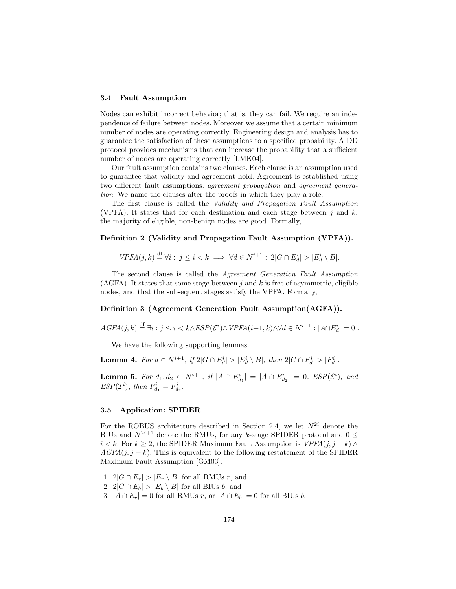### 3.4 Fault Assumption

Nodes can exhibit incorrect behavior; that is, they can fail. We require an independence of failure between nodes. Moreover we assume that a certain minimum number of nodes are operating correctly. Engineering design and analysis has to guarantee the satisfaction of these assumptions to a specified probability. A DD protocol provides mechanisms that can increase the probability that a sufficient number of nodes are operating correctly [LMK04].

Our fault assumption contains two clauses. Each clause is an assumption used to guarantee that validity and agreement hold. Agreement is established using two different fault assumptions: agreement propagation and agreement generation. We name the clauses after the proofs in which they play a role.

The first clause is called the Validity and Propagation Fault Assumption (VPFA). It states that for each destination and each stage between  $j$  and  $k$ , the majority of eligible, non-benign nodes are good. Formally,

# Definition 2 (Validity and Propagation Fault Assumption (VPFA)).

$$
VPPA(j,k) \stackrel{\mathrm{df}}{=} \forall i: \ j \leq i < k \implies \forall d \in N^{i+1}: \ 2|G \cap E_d^i| > |E_d^i \setminus B|.
$$

The second clause is called the Agreement Generation Fault Assumption (AGFA). It states that some stage between  $j$  and  $k$  is free of asymmetric, eligible nodes, and that the subsequent stages satisfy the VPFA. Formally,

## Definition 3 (Agreement Generation Fault Assumption(AGFA)).

 $AGFA(j,k) \stackrel{\text{df}}{=} \exists i : j \leq i < k \land ESP(\mathcal{E}^i) \land VPPFA(i+1,k) \land \forall d \in N^{i+1} : |A \cap E_d^i| = 0$ .

We have the following supporting lemmas:

**Lemma 4.** For  $d \in N^{i+1}$ , if  $2|G \cap E_d^i| > |E_d^i \setminus B|$ , then  $2|C \cap F_d^i| > |F_d^i|$ .

**Lemma 5.** For  $d_1, d_2 \in N^{i+1}$ , if  $|A \cap E_{d_1}^i| = |A \cap E_{d_2}^i| = 0$ ,  $ESP(\mathcal{E}^i)$ , and  $ESP(\mathcal{I}^i)$ , then  $F_{d_1}^i = F_{d_2}^i$ .

#### 3.5 Application: SPIDER

For the ROBUS architecture described in Section 2.4, we let  $N^{2i}$  denote the BIUs and  $N^{2i+1}$  denote the RMUs, for any k-stage SPIDER protocol and  $0 \leq$  $i < k$ . For  $k > 2$ , the SPIDER Maximum Fault Assumption is  $VPFA(j, j + k) \wedge$  $AGFA(j, j + k)$ . This is equivalent to the following restatement of the SPIDER Maximum Fault Assumption [GM03]:

1.  $2|G \cap E_r| > |E_r \setminus B|$  for all RMUs r, and

- 2.  $2|G \cap E_b| > |E_b \setminus B|$  for all BIUs b, and
- 3.  $|A \cap E_r| = 0$  for all RMUs r, or  $|A \cap E_b| = 0$  for all BIUs b.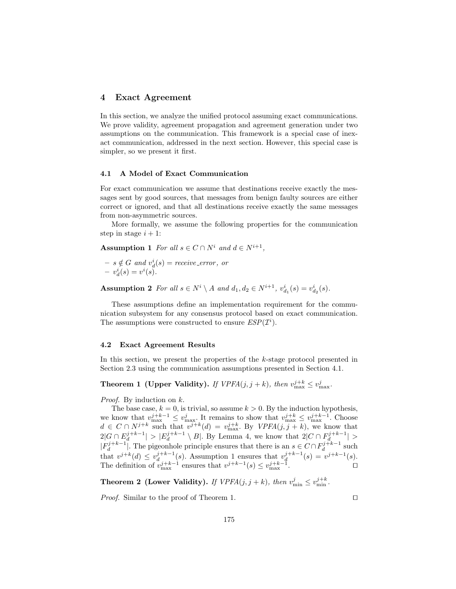## 4 Exact Agreement

In this section, we analyze the unified protocol assuming exact communications. We prove validity, agreement propagation and agreement generation under two assumptions on the communication. This framework is a special case of inexact communication, addressed in the next section. However, this special case is simpler, so we present it first.

#### 4.1 A Model of Exact Communication

For exact communication we assume that destinations receive exactly the messages sent by good sources, that messages from benign faulty sources are either correct or ignored, and that all destinations receive exactly the same messages from non-asymmetric sources.

More formally, we assume the following properties for the communication step in stage  $i + 1$ :

Assumption 1 For all  $s \in C \cap N^i$  and  $d \in N^{i+1}$ ,

 $- s \notin G$  and  $v_d^i(s) = receive\_error$ , or  $- v_d^i(s) = v^i(s).$ 

**Assumption 2** For all  $s \in N^i \setminus A$  and  $d_1, d_2 \in N^{i+1}$ ,  $v_{d_1}^i(s) = v_{d_2}^i(s)$ .

These assumptions define an implementation requirement for the communication subsystem for any consensus protocol based on exact communication. The assumptions were constructed to ensure  $ESP(\mathcal{I}^i)$ .

#### 4.2 Exact Agreement Results

In this section, we present the properties of the k-stage protocol presented in Section 2.3 using the communication assumptions presented in Section 4.1.

**Theorem 1 (Upper Validity).** If  $VPFA(j, j + k)$ , then  $v_{\text{max}}^{j+k} \leq v_{\text{max}}^j$ .

Proof. By induction on k.

The base case,  $k = 0$ , is trivial, so assume  $k > 0$ . By the induction hypothesis, we know that  $v_{\text{max}}^{j+k-1} \leq v_{\text{max}}^j$ . It remains to show that  $v_{\text{max}}^{j+k} \leq v_{\text{max}}^{j+k-1}$ . Choose  $d \in C \cap N^{j+k}$  such that  $v^{j+k}(d) = v_{\text{max}}^{j+k}$ . By  $VPFA(j, j+k)$ , we know that  $2|G \cap E_d^{j+k-1}| > |E_d^{j+k-1} \setminus B|$ . By Lemma 4, we know that  $2|C \cap F_d^{j+k-1}| >$  $|F_d^{j+k-1}|$ . The pigeonhole principle ensures that there is an  $s \in C \cap F_d^{j+k-1}$  such that  $v^{j+k}(d) \leq v_d^{j+k-1}(s)$ . Assumption 1 ensures that  $v_d^{j+k-1}(s) = v^{j+k-1}(s)$ . The definition of  $v_{\text{max}}^{j+k-1}$  ensures that  $v^{j+k-1}(s) \le v_{\text{max}}^{j+k-1}$ .

**Theorem 2 (Lower Validity).** If  $VPFA(j, j + k)$ , then  $v_{\min}^j \leq v_{\min}^{j+k}$ .

*Proof.* Similar to the proof of Theorem 1.  $\Box$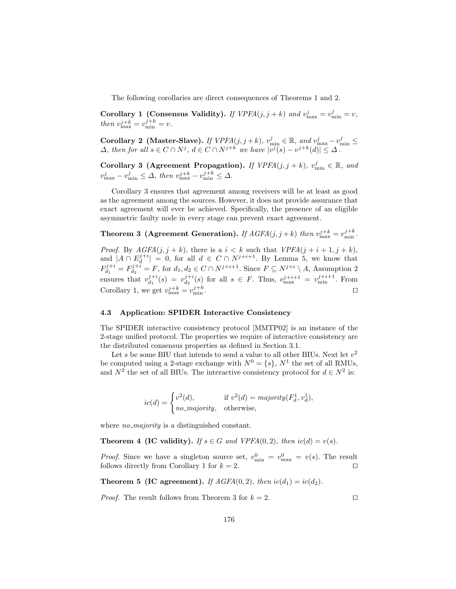The following corollaries are direct consequences of Theorems 1 and 2.

Corollary 1 (Consensus Validity). If  $VPFA(j, j + k)$  and  $v_{\text{max}}^j = v_{\text{min}}^j = v$ , then  $v_{\text{max}}^{j+k} = v_{\text{min}}^{j+k} = v.$ 

Corollary 2 (Master-Slave). If  $VPFA(j, j+k)$ ,  $v_{\min}^j \in \mathbb{R}$ , and  $v_{\max}^j - v_{\min}^j \leq$  $\Delta$ , then for all  $s \in C \cap N^j$ ,  $d \in C \cap N^{j+k}$  we have  $|v^j(s) - v^{j+k}(d)| \leq \Delta$ .

Corollary 3 (Agreement Propagation). If  $VPFA(j, j + k)$ ,  $v_{\min}^j \in \mathbb{R}$ , and  $v_{\text{max}}^j - v_{\text{min}}^j \leq \Delta$ , then  $v_{\text{max}}^{j+k} - v_{\text{min}}^{j+k} \leq \Delta$ .

Corollary 3 ensures that agreement among receivers will be at least as good as the agreement among the sources. However, it does not provide assurance that exact agreement will ever be achieved. Specifically, the presence of an eligible asymmetric faulty node in every stage can prevent exact agreement.

# **Theorem 3 (Agreement Generation).** If  $AGFA(j, j+k)$  then  $v_{\text{max}}^{j+k} = v_{\text{min}}^{j+k}$ .

*Proof.* By  $AGFA(j, j + k)$ , there is a  $i < k$  such that  $VPFA(j + i + 1, j + k)$ , and  $|A \cap E_d^{j+i}| = 0$ , for all  $d \in C \cap N^{j+i+1}$ . By Lemma 5, we know that  $F_{d_1}^{j+i} = F_{d_2}^{j+i} = F$ , for  $d_1, d_2 \in C \cap N^{j+i+1}$ . Since  $F \subseteq N^{j+i} \setminus A$ , Assumption 2 ensures that  $v_{d_1}^{j+i}(s) = v_{d_2}^{j+i}(s)$  for all  $s \in F$ . Thus,  $v_{\text{max}}^{j+i+1} = v_{\text{min}}^{j+i+1}$ . From Corollary 1, we get  $v_{\text{max}}^{j+k} = v_{\text{min}}^{j+k}$  $j+k$  min .

### 4.3 Application: SPIDER Interactive Consistency

The SPIDER interactive consistency protocol [MMTP02] is an instance of the 2-stage unified protocol. The properties we require of interactive consistency are the distributed consensus properties as defined in Section 3.1.

Let s be some BIU that intends to send a value to all other BIUs. Next let  $v^2$ be computed using a 2-stage exchange with  $N^0 = \{s\}, N^1$  the set of all RMUs, and  $N^2$  the set of all BIUs. The interactive consistency protocol for  $d \in N^2$  is:

$$
ic(d) = \begin{cases} v^2(d), & \text{if } v^2(d) = majority(F_d^1, v_d^1), \\ no\text{-}majority, & \text{otherwise}, \end{cases}
$$

where *no*-*majority* is a distinguished constant.

**Theorem 4 (IC validity).** If  $s \in G$  and  $VPFA(0, 2)$ , then  $ic(d) = v(s)$ .

*Proof.* Since we have a singleton source set,  $v_{\text{min}}^0 = v_{\text{max}}^0 = v(s)$ . The result follows directly from Corollary 1 for  $k = 2$ .

**Theorem 5 (IC agreement).** If  $AGFA(0, 2)$ , then  $ic(d_1) = ic(d_2)$ .

*Proof.* The result follows from Theorem 3 for  $k = 2$ .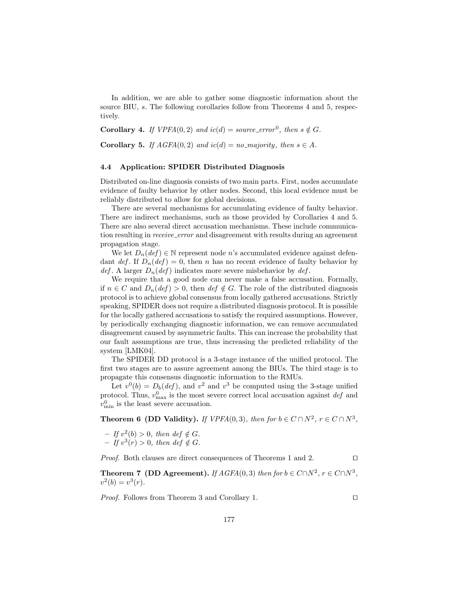In addition, we are able to gather some diagnostic information about the source BIU, s. The following corollaries follow from Theorems 4 and 5, respectively.

**Corollary 4.** If  $VPFA(0,2)$  and  $ic(d) = source_error^0$ , then  $s \notin G$ .

**Corollary 5.** If  $AGFA(0, 2)$  and  $ic(d) = no\_{majority}$ , then  $s \in A$ .

## 4.4 Application: SPIDER Distributed Diagnosis

Distributed on-line diagnosis consists of two main parts. First, nodes accumulate evidence of faulty behavior by other nodes. Second, this local evidence must be reliably distributed to allow for global decisions.

There are several mechanisms for accumulating evidence of faulty behavior. There are indirect mechanisms, such as those provided by Corollaries 4 and 5. There are also several direct accusation mechanisms. These include communication resulting in *receive\_error* and disagreement with results during an agreement propagation stage.

We let  $D_n(\text{def}) \in \mathbb{N}$  represent node n's accumulated evidence against defendant def. If  $D_n(\text{def}) = 0$ , then n has no recent evidence of faulty behavior by def. A larger  $D_n(\text{def})$  indicates more severe misbehavior by def.

We require that a good node can never make a false accusation. Formally, if  $n \in C$  and  $D_n(\text{def}) > 0$ , then  $\text{def } \notin G$ . The role of the distributed diagnosis protocol is to achieve global consensus from locally gathered accusations. Strictly speaking, SPIDER does not require a distributed diagnosis protocol. It is possible for the locally gathered accusations to satisfy the required assumptions. However, by periodically exchanging diagnostic information, we can remove accumulated disagreement caused by asymmetric faults. This can increase the probability that our fault assumptions are true, thus increasing the predicted reliability of the system [LMK04].

The SPIDER DD protocol is a 3-stage instance of the unified protocol. The first two stages are to assure agreement among the BIUs. The third stage is to propagate this consensus diagnostic information to the RMUs.

Let  $v^0(b) = D_b(def)$ , and  $v^2$  and  $v^3$  be computed using the 3-stage unified protocol. Thus,  $v_{\text{max}}^0$  is the most severe correct local accusation against  $\text{def}$  and  $v_{\rm min}^0$  is the least severe accusation.

**Theorem 6 (DD Validity).** If  $VPFA(0,3)$ , then for  $b \in C \cap N^2$ ,  $r \in C \cap N^3$ ,

 $-If v^2(b) > 0$ , then def  $\notin G$ .  $-If v^3(r) > 0$ , then def  $\notin G$ .

*Proof.* Both clauses are direct consequences of Theorems 1 and 2.  $\Box$ 

**Theorem 7 (DD Agreement).** If  $AGFA(0,3)$  then for  $b \in C \cap N^2$ ,  $r \in C \cap N^3$ ,  $v^2(b) = v^3(r)$ .

*Proof.* Follows from Theorem 3 and Corollary 1.  $\Box$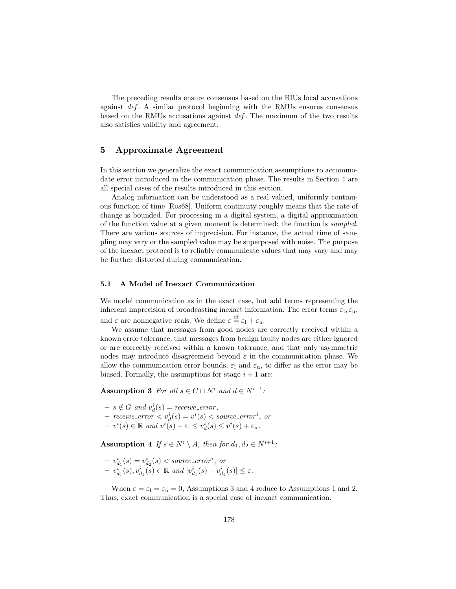The preceding results ensure consensus based on the BIUs local accusations against *def*. A similar protocol beginning with the RMUs ensures consensus based on the RMUs accusations against  $def$ . The maximum of the two results also satisfies validity and agreement.

## 5 Approximate Agreement

In this section we generalize the exact communication assumptions to accommodate error introduced in the communication phase. The results in Section 4 are all special cases of the results introduced in this section.

Analog information can be understood as a real valued, uniformly continuous function of time [Ros68]. Uniform continuity roughly means that the rate of change is bounded. For processing in a digital system, a digital approximation of the function value at a given moment is determined: the function is sampled. There are various sources of imprecision. For instance, the actual time of sampling may vary or the sampled value may be superposed with noise. The purpose of the inexact protocol is to reliably communicate values that may vary and may be further distorted during communication.

#### 5.1 A Model of Inexact Communication

We model communication as in the exact case, but add terms representing the inherent imprecision of broadcasting inexact information. The error terms  $\varepsilon_1, \varepsilon_u$ , and  $\varepsilon$  are nonnegative reals. We define  $\varepsilon \stackrel{\text{df}}{=} \varepsilon_1 + \varepsilon_u$ .

We assume that messages from good nodes are correctly received within a known error tolerance, that messages from benign faulty nodes are either ignored or are correctly received within a known tolerance, and that only asymmetric nodes may introduce disagreement beyond  $\varepsilon$  in the communication phase. We allow the communication error bounds,  $\varepsilon_1$  and  $\varepsilon_{\rm u}$ , to differ as the error may be biased. Formally, the assumptions for stage  $i + 1$  are:

Assumption 3 For all  $s \in C \cap N^i$  and  $d \in N^{i+1}$ :

- $s \notin G$  and  $v_d^i(s) = receive\_error$ ,
- $-$  receive\_error  $\langle v_d^i(s) = v^i(s) \rangle$  source\_error<sup>i</sup>, or  $- v^i(s) \in \mathbb{R}$  and  $v^i(s) - \varepsilon_1 \leq v^i_d(s) \leq v^i(s) + \varepsilon_u$ .

Assumption 4 If  $s \in N^i \setminus A$ , then for  $d_1, d_2 \in N^{i+1}$ :

 $-v_{d_1}^i(s)=v_{d_2}^i(s) < source\_error^i, or$  $- v_{d_1}^{i}(s), v_{d_2}^{i}(s) \in \mathbb{R}$  and  $|v_{d_1}^{i}(s) - v_{d_2}^{i}(s)| \leq \varepsilon$ .

When  $\varepsilon = \varepsilon_{\rm l} = \varepsilon_{\rm u} = 0$ , Assumptions 3 and 4 reduce to Assumptions 1 and 2. Thus, exact communication is a special case of inexact communication.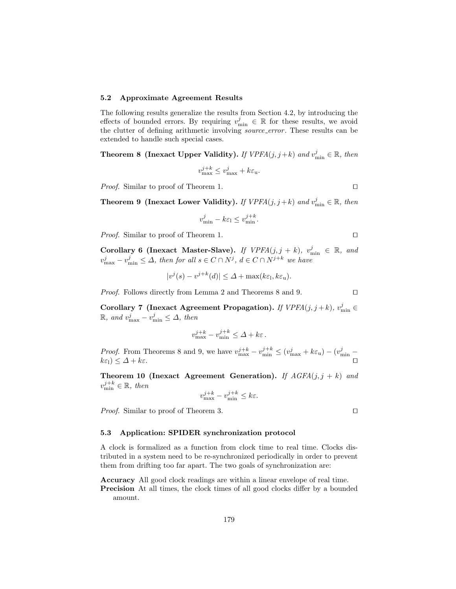## 5.2 Approximate Agreement Results

The following results generalize the results from Section 4.2, by introducing the effects of bounded errors. By requiring  $v_{\min}^j \in \mathbb{R}$  for these results, we avoid the clutter of defining arithmetic involving source\_error. These results can be extended to handle such special cases.

**Theorem 8 (Inexact Upper Validity).** If  $VPFA(j, j+k)$  and  $v_{\min}^j \in \mathbb{R}$ , then

 $v_{\text{max}}^{j+k} \leq v_{\text{max}}^j + k\varepsilon_{\text{u}}.$ 

*Proof.* Similar to proof of Theorem 1.  $\Box$ 

**Theorem 9** (Inexact Lower Validity). If  $VPPA(j, j+k)$  and  $v_{\min}^j \in \mathbb{R}$ , then

$$
v_{\min}^j - k\varepsilon_l \le v_{\min}^{j+k}.
$$

*Proof.* Similar to proof of Theorem 1.  $\Box$ 

Corollary 6 (Inexact Master-Slave). If  $VPFA(j, j + k)$ ,  $v_{\min}^j \in \mathbb{R}$ , and  $v_{\text{max}}^j - v_{\text{min}}^j \leq \Delta$ , then for all  $s \in C \cap N^j$ ,  $d \in C \cap N^{j+k}$  we have

$$
|v^{j}(s) - v^{j+k}(d)| \leq \Delta + \max(k\varepsilon_1, k\varepsilon_1).
$$

*Proof.* Follows directly from Lemma 2 and Theorems 8 and 9.  $\Box$ 

Corollary 7 (Inexact Agreement Propagation). If  $VPFA(j, j + k)$ ,  $v_{\min}^j \in$  $\mathbb{R}$ , and  $v_{\text{max}}^j - v_{\text{min}}^j \leq \Delta$ , then

$$
v_{\text{max}}^{j+k} - v_{\text{min}}^{j+k} \le \Delta + k\varepsilon.
$$

*Proof.* From Theorems 8 and 9, we have  $v_{\text{max}}^{j+k} - v_{\text{min}}^{j+k} \leq (v_{\text{max}}^j + k\varepsilon_u) - (v_{\text{min}}^j$  $k\varepsilon_1 \leq \Delta + k\varepsilon$ .

Theorem 10 (Inexact Agreement Generation). If  $AGFA(j, j + k)$  and  $v_{\min}^{j+k} \in \mathbb{R}, \text{ then}$ 

$$
v_{\text{max}}^{j+k} - v_{\text{min}}^{j+k} \le k\varepsilon.
$$

*Proof.* Similar to proof of Theorem 3.  $\Box$ 

5.3 Application: SPIDER synchronization protocol

A clock is formalized as a function from clock time to real time. Clocks distributed in a system need to be re-synchronized periodically in order to prevent them from drifting too far apart. The two goals of synchronization are:

Accuracy All good clock readings are within a linear envelope of real time. Precision At all times, the clock times of all good clocks differ by a bounded amount.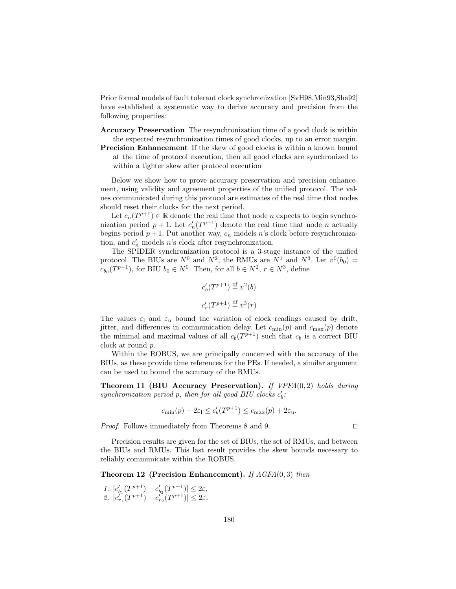Prior formal models of fault tolerant clock synchronization [SvH98,Min93,Sha92] have established a systematic way to derive accuracy and precision from the following properties:

- Accuracy Preservation The resynchronization time of a good clock is within the expected resynchronization times of good clocks, up to an error margin.
- Precision Enhancement If the skew of good clocks is within a known bound at the time of protocol execution, then all good clocks are synchronized to within a tighter skew after protocol execution

Below we show how to prove accuracy preservation and precision enhancement, using validity and agreement properties of the unified protocol. The values communicated during this protocol are estimates of the real time that nodes should reset their clocks for the next period.

Let  $c_n(T^{p+1}) \in \mathbb{R}$  denote the real time that node n expects to begin synchronization period  $p+1$ . Let  $c'_n(T^{p+1})$  denote the real time that node n actually begins period  $p + 1$ . Put another way,  $c_n$  models n's clock before resynchronization, and  $c'_n$  models n's clock after resynchronization.

The SPIDER synchronization protocol is a 3-stage instance of the unified protocol. The BIUs are  $N^0$  and  $N^2$ , the RMUs are  $N^1$  and  $N^3$ . Let  $v^0(b_0)$  =  $c_{b_0}(T^{p+1})$ , for BIU  $b_0 \in N^0$ . Then, for all  $b \in N^2$ ,  $r \in N^3$ , define

$$
c'_b(T^{p+1}) \stackrel{\text{df}}{=} v^2(b)
$$
  

$$
c'_r(T^{p+1}) \stackrel{\text{df}}{=} v^3(r)
$$

The values  $\varepsilon_1$  and  $\varepsilon_u$  bound the variation of clock readings caused by drift, jitter, and differences in communication delay. Let  $c_{\min}(p)$  and  $c_{\max}(p)$  denote the minimal and maximal values of all  $c_b(T^{p+1})$  such that  $c_b$  is a correct BIU clock at round p.

Within the ROBUS, we are principally concerned with the accuracy of the BIUs, as these provide time references for the PEs. If needed, a similar argument can be used to bound the accuracy of the RMUs.

Theorem 11 (BIU Accuracy Preservation). If  $VPFA(0,2)$  holds during synchronization period p, then for all good BIU clocks  $c'_b$ :

$$
c_{\min}(p) - 2\varepsilon_1 \le c'_b(T^{p+1}) \le c_{\max}(p) + 2\varepsilon_u.
$$

*Proof.* Follows immediately from Theorems 8 and 9.  $\Box$ 

Precision results are given for the set of BIUs, the set of RMUs, and between the BIUs and RMUs. This last result provides the skew bounds necessary to reliably communicate within the ROBUS.

**Theorem 12 (Precision Enhancement).** If  $AGFA(0,3)$  then

1.  $|c'_{b_1}(T^{p+1}) - c'_{b_2}(T^{p+1})| \leq 2\varepsilon$ , 2.  $|c_{r_1}^{j}(T^{p+1}) - c_{r_2}^{j}(T^{p+1})| \leq 2\varepsilon,$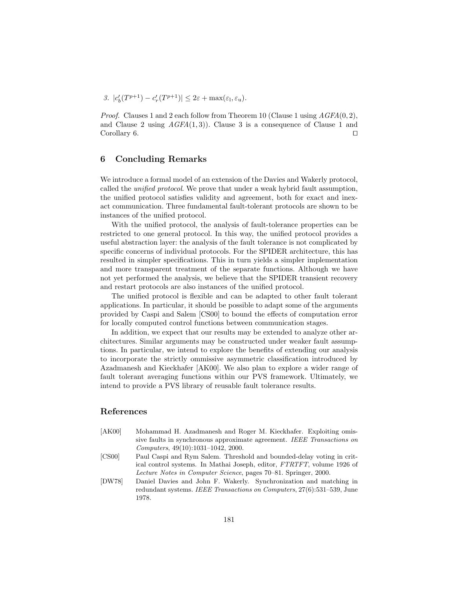3. 
$$
|c'_b(T^{p+1}) - c'_r(T^{p+1})| \leq 2\varepsilon + \max(\varepsilon_1, \varepsilon_u).
$$

*Proof.* Clauses 1 and 2 each follow from Theorem 10 (Clause 1 using  $AGFA(0, 2)$ , and Clause 2 using  $AGFA(1,3)$ . Clause 3 is a consequence of Clause 1 and Corollary 6.  $\Box$ 

# 6 Concluding Remarks

We introduce a formal model of an extension of the Davies and Wakerly protocol, called the unified protocol. We prove that under a weak hybrid fault assumption, the unified protocol satisfies validity and agreement, both for exact and inexact communication. Three fundamental fault-tolerant protocols are shown to be instances of the unified protocol.

With the unified protocol, the analysis of fault-tolerance properties can be restricted to one general protocol. In this way, the unified protocol provides a useful abstraction layer: the analysis of the fault tolerance is not complicated by specific concerns of individual protocols. For the SPIDER architecture, this has resulted in simpler specifications. This in turn yields a simpler implementation and more transparent treatment of the separate functions. Although we have not yet performed the analysis, we believe that the SPIDER transient recovery and restart protocols are also instances of the unified protocol.

The unified protocol is flexible and can be adapted to other fault tolerant applications. In particular, it should be possible to adapt some of the arguments provided by Caspi and Salem [CS00] to bound the effects of computation error for locally computed control functions between communication stages.

In addition, we expect that our results may be extended to analyze other architectures. Similar arguments may be constructed under weaker fault assumptions. In particular, we intend to explore the benefits of extending our analysis to incorporate the strictly ommissive asymmetric classification introduced by Azadmanesh and Kieckhafer [AK00]. We also plan to explore a wider range of fault tolerant averaging functions within our PVS framework. Ultimately, we intend to provide a PVS library of reusable fault tolerance results.

## References

- [AK00] Mohammad H. Azadmanesh and Roger M. Kieckhafer. Exploiting omissive faults in synchronous approximate agreement. IEEE Transactions on Computers, 49(10):1031–1042, 2000.
- [CS00] Paul Caspi and Rym Salem. Threshold and bounded-delay voting in critical control systems. In Mathai Joseph, editor, FTRTFT, volume 1926 of Lecture Notes in Computer Science, pages 70–81. Springer, 2000.
- [DW78] Daniel Davies and John F. Wakerly. Synchronization and matching in redundant systems. IEEE Transactions on Computers, 27(6):531–539, June 1978.